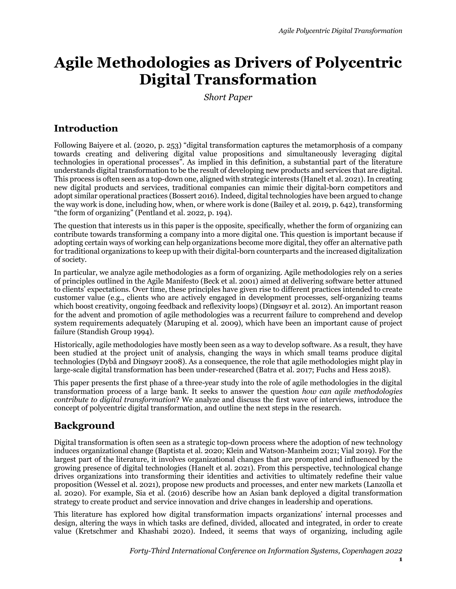# **Agile Methodologies as Drivers of Polycentric Digital Transformation**

*Short Paper*

# **Introduction**

Following Baiyere et al. (2020, p. 253) "digital transformation captures the metamorphosis of a company towards creating and delivering digital value propositions and simultaneously leveraging digital technologies in operational processes". As implied in this definition, a substantial part of the literature understands digital transformation to be the result of developing new products and services that are digital. This process is often seen as a top-down one, aligned with strategic interests (Hanelt et al. 2021). In creating new digital products and services, traditional companies can mimic their digital-born competitors and adopt similar operational practices (Bossert 2016). Indeed, digital technologies have been argued to change the way work is done, including how, when, or where work is done (Bailey et al. 2019, p. 642), transforming "the form of organizing" (Pentland et al. 2022, p. 194).

The question that interests us in this paper is the opposite, specifically, whether the form of organizing can contribute towards transforming a company into a more digital one. This question is important because if adopting certain ways of working can help organizations become more digital, they offer an alternative path for traditional organizations to keep up with their digital-born counterparts and the increased digitalization of society.

In particular, we analyze agile methodologies as a form of organizing. Agile methodologies rely on a series of principles outlined in the Agile Manifesto (Beck et al. 2001) aimed at delivering software better attuned to clients' expectations. Over time, these principles have given rise to different practices intended to create customer value (e.g., clients who are actively engaged in development processes, self-organizing teams which boost creativity, ongoing feedback and reflexivity loops) (Dingsøyr et al. 2012). An important reason for the advent and promotion of agile methodologies was a recurrent failure to comprehend and develop system requirements adequately (Maruping et al. 2009), which have been an important cause of project failure (Standish Group 1994).

Historically, agile methodologies have mostly been seen as a way to develop software. As a result, they have been studied at the project unit of analysis, changing the ways in which small teams produce digital technologies (Dybå and Dingsøyr 2008). As a consequence, the role that agile methodologies might play in large-scale digital transformation has been under-researched (Batra et al. 2017; Fuchs and Hess 2018).

This paper presents the first phase of a three-year study into the role of agile methodologies in the digital transformation process of a large bank. It seeks to answer the question *how can agile methodologies contribute to digital transformation*? We analyze and discuss the first wave of interviews, introduce the concept of polycentric digital transformation, and outline the next steps in the research.

# **Background**

Digital transformation is often seen as a strategic top-down process where the adoption of new technology induces organizational change (Baptista et al. 2020; Klein and Watson-Manheim 2021; Vial 2019). For the largest part of the literature, it involves organizational changes that are prompted and influenced by the growing presence of digital technologies (Hanelt et al. 2021). From this perspective, technological change drives organizations into transforming their identities and activities to ultimately redefine their value proposition (Wessel et al. 2021), propose new products and processes, and enter new markets (Lanzolla et al. 2020). For example, Sia et al. (2016) describe how an Asian bank deployed a digital transformation strategy to create product and service innovation and drive changes in leadership and operations.

This literature has explored how digital transformation impacts organizations' internal processes and design, altering the ways in which tasks are defined, divided, allocated and integrated, in order to create value (Kretschmer and Khashabi 2020). Indeed, it seems that ways of organizing, including agile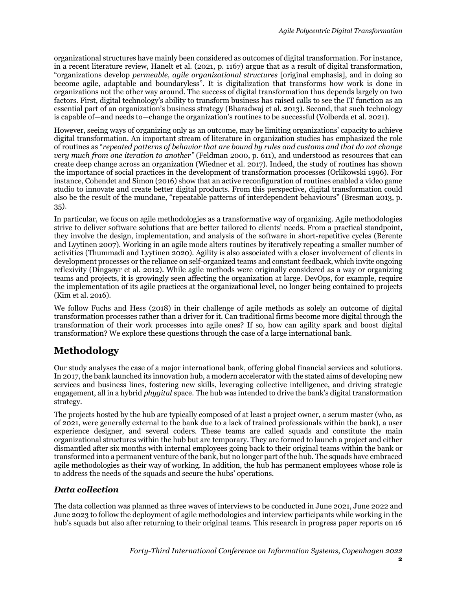organizational structures have mainly been considered as outcomes of digital transformation. For instance, in a recent literature review, Hanelt et al. (2021, p. 1167) argue that as a result of digital transformation, "organizations develop *permeable, agile organizational structures* [original emphasis], and in doing so become agile, adaptable and boundaryless". It is digitalization that transforms how work is done in organizations not the other way around. The success of digital transformation thus depends largely on two factors. First, digital technology's ability to transform business has raised calls to see the IT function as an essential part of an organization's business strategy (Bharadwaj et al. 2013). Second, that such technology is capable of—and needs to—change the organization's routines to be successful (Volberda et al. 2021).

However, seeing ways of organizing only as an outcome, may be limiting organizations' capacity to achieve digital transformation. An important stream of literature in organization studies has emphasized the role of routines as "*repeated patterns of behavior that are bound by rules and customs and that do not change very much from one iteration to another"* (Feldman 2000, p. 611), and understood as resources that can create deep change across an organization (Wiedner et al. 2017). Indeed, the study of routines has shown the importance of social practices in the development of transformation processes (Orlikowski 1996). For instance, Cohendet and Simon (2016) show that an active reconfiguration of routines enabled a video game studio to innovate and create better digital products. From this perspective, digital transformation could also be the result of the mundane, "repeatable patterns of interdependent behaviours" (Bresman 2013, p. 35).

In particular, we focus on agile methodologies as a transformative way of organizing. Agile methodologies strive to deliver software solutions that are better tailored to clients' needs. From a practical standpoint, they involve the design, implementation, and analysis of the software in short-repetitive cycles (Berente and Lyytinen 2007). Working in an agile mode alters routines by iteratively repeating a smaller number of activities (Thummadi and Lyytinen 2020). Agility is also associated with a closer involvement of clients in development processes or the reliance on self-organized teams and constant feedback, which invite ongoing reflexivity (Dingsøyr et al. 2012). While agile methods were originally considered as a way or organizing teams and projects, it is growingly seen affecting the organization at large. DevOps, for example, require the implementation of its agile practices at the organizational level, no longer being contained to projects (Kim et al. 2016).

We follow Fuchs and Hess (2018) in their challenge of agile methods as solely an outcome of digital transformation processes rather than a driver for it. Can traditional firms become more digital through the transformation of their work processes into agile ones? If so, how can agility spark and boost digital transformation? We explore these questions through the case of a large international bank.

# **Methodology**

Our study analyses the case of a major international bank, offering global financial services and solutions. In 2017, the bank launched its innovation hub, a modern accelerator with the stated aims of developing new services and business lines, fostering new skills, leveraging collective intelligence, and driving strategic engagement, all in a hybrid *phygital* space. The hub was intended to drive the bank's digital transformation strategy.

The projects hosted by the hub are typically composed of at least a project owner, a scrum master (who, as of 2021, were generally external to the bank due to a lack of trained professionals within the bank), a user experience designer, and several coders. These teams are called squads and constitute the main organizational structures within the hub but are temporary. They are formed to launch a project and either dismantled after six months with internal employees going back to their original teams within the bank or transformed into a permanent venture of the bank, but no longer part of the hub. The squads have embraced agile methodologies as their way of working. In addition, the hub has permanent employees whose role is to address the needs of the squads and secure the hubs' operations.

### *Data collection*

The data collection was planned as three waves of interviews to be conducted in June 2021, June 2022 and June 2023 to follow the deployment of agile methodologies and interview participants while working in the hub's squads but also after returning to their original teams. This research in progress paper reports on 16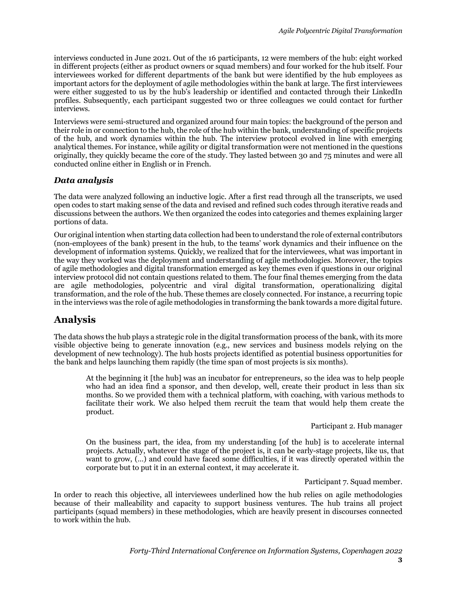interviews conducted in June 2021. Out of the 16 participants, 12 were members of the hub: eight worked in different projects (either as product owners or squad members) and four worked for the hub itself. Four interviewees worked for different departments of the bank but were identified by the hub employees as important actors for the deployment of agile methodologies within the bank at large. The first interviewees were either suggested to us by the hub's leadership or identified and contacted through their LinkedIn profiles. Subsequently, each participant suggested two or three colleagues we could contact for further interviews.

Interviews were semi-structured and organized around four main topics: the background of the person and their role in or connection to the hub, the role of the hub within the bank, understanding of specific projects of the hub, and work dynamics within the hub. The interview protocol evolved in line with emerging analytical themes. For instance, while agility or digital transformation were not mentioned in the questions originally, they quickly became the core of the study. They lasted between 30 and 75 minutes and were all conducted online either in English or in French.

#### *Data analysis*

The data were analyzed following an inductive logic. After a first read through all the transcripts, we used open codes to start making sense of the data and revised and refined such codes through iterative reads and discussions between the authors. We then organized the codes into categories and themes explaining larger portions of data.

Our original intention when starting data collection had been to understand the role of external contributors (non-employees of the bank) present in the hub, to the teams' work dynamics and their influence on the development of information systems. Quickly, we realized that for the interviewees, what was important in the way they worked was the deployment and understanding of agile methodologies. Moreover, the topics of agile methodologies and digital transformation emerged as key themes even if questions in our original interview protocol did not contain questions related to them. The four final themes emerging from the data are agile methodologies, polycentric and viral digital transformation, operationalizing digital transformation, and the role of the hub. These themes are closely connected. For instance, a recurring topic in the interviews was the role of agile methodologies in transforming the bank towards a more digital future.

### **Analysis**

The data shows the hub plays a strategic role in the digital transformation process of the bank, with its more visible objective being to generate innovation (e.g., new services and business models relying on the development of new technology). The hub hosts projects identified as potential business opportunities for the bank and helps launching them rapidly (the time span of most projects is six months).

At the beginning it [the hub] was an incubator for entrepreneurs, so the idea was to help people who had an idea find a sponsor, and then develop, well, create their product in less than six months. So we provided them with a technical platform, with coaching, with various methods to facilitate their work. We also helped them recruit the team that would help them create the product.

#### Participant 2. Hub manager

On the business part, the idea, from my understanding [of the hub] is to accelerate internal projects. Actually, whatever the stage of the project is, it can be early-stage projects, like us, that want to grow, (…) and could have faced some difficulties, if it was directly operated within the corporate but to put it in an external context, it may accelerate it.

Participant 7. Squad member.

In order to reach this objective, all interviewees underlined how the hub relies on agile methodologies because of their malleability and capacity to support business ventures. The hub trains all project participants (squad members) in these methodologies, which are heavily present in discourses connected to work within the hub.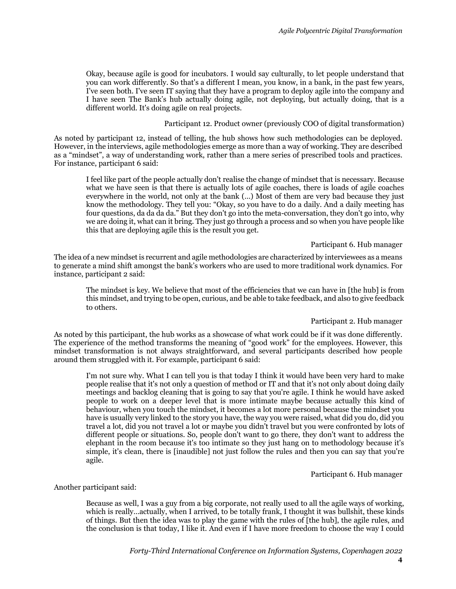Okay, because agile is good for incubators. I would say culturally, to let people understand that you can work differently. So that's a different I mean, you know, in a bank, in the past few years, I've seen both. I've seen IT saying that they have a program to deploy agile into the company and I have seen The Bank's hub actually doing agile, not deploying, but actually doing, that is a different world. It's doing agile on real projects.

Participant 12. Product owner (previously COO of digital transformation)

As noted by participant 12, instead of telling, the hub shows how such methodologies can be deployed. However, in the interviews, agile methodologies emerge as more than a way of working. They are described as a "mindset", a way of understanding work, rather than a mere series of prescribed tools and practices. For instance, participant 6 said:

I feel like part of the people actually don't realise the change of mindset that is necessary. Because what we have seen is that there is actually lots of agile coaches, there is loads of agile coaches everywhere in the world, not only at the bank (…) Most of them are very bad because they just know the methodology. They tell you: "Okay, so you have to do a daily. And a daily meeting has four questions, da da da da." But they don't go into the meta-conversation, they don't go into, why we are doing it, what can it bring. They just go through a process and so when you have people like this that are deploying agile this is the result you get.

#### Participant 6. Hub manager

The idea of a new mindset is recurrent and agile methodologies are characterized by interviewees as a means to generate a mind shift amongst the bank's workers who are used to more traditional work dynamics. For instance, participant 2 said:

The mindset is key. We believe that most of the efficiencies that we can have in [the hub] is from this mindset, and trying to be open, curious, and be able to take feedback, and also to give feedback to others.

#### Participant 2. Hub manager

As noted by this participant, the hub works as a showcase of what work could be if it was done differently. The experience of the method transforms the meaning of "good work" for the employees. However, this mindset transformation is not always straightforward, and several participants described how people around them struggled with it. For example, participant 6 said:

I'm not sure why. What I can tell you is that today I think it would have been very hard to make people realise that it's not only a question of method or IT and that it's not only about doing daily meetings and backlog cleaning that is going to say that you're agile. I think he would have asked people to work on a deeper level that is more intimate maybe because actually this kind of behaviour, when you touch the mindset, it becomes a lot more personal because the mindset you have is usually very linked to the story you have, the way you were raised, what did you do, did you travel a lot, did you not travel a lot or maybe you didn't travel but you were confronted by lots of different people or situations. So, people don't want to go there, they don't want to address the elephant in the room because it's too intimate so they just hang on to methodology because it's simple, it's clean, there is [inaudible] not just follow the rules and then you can say that you're agile.

#### Participant 6. Hub manager

#### Another participant said:

Because as well, I was a guy from a big corporate, not really used to all the agile ways of working, which is really…actually, when I arrived, to be totally frank, I thought it was bullshit, these kinds of things. But then the idea was to play the game with the rules of [the hub], the agile rules, and the conclusion is that today, I like it. And even if I have more freedom to choose the way I could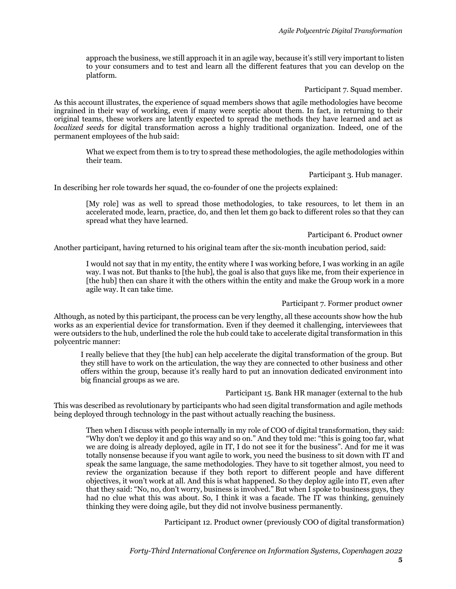approach the business, we still approach it in an agile way, because it's still very important to listen to your consumers and to test and learn all the different features that you can develop on the platform.

Participant 7. Squad member.

As this account illustrates, the experience of squad members shows that agile methodologies have become ingrained in their way of working, even if many were sceptic about them. In fact, in returning to their original teams, these workers are latently expected to spread the methods they have learned and act as *localized seeds* for digital transformation across a highly traditional organization. Indeed, one of the permanent employees of the hub said:

What we expect from them is to try to spread these methodologies, the agile methodologies within their team.

Participant 3. Hub manager.

In describing her role towards her squad, the co-founder of one the projects explained:

[My role] was as well to spread those methodologies, to take resources, to let them in an accelerated mode, learn, practice, do, and then let them go back to different roles so that they can spread what they have learned.

Participant 6. Product owner

Another participant, having returned to his original team after the six-month incubation period, said:

I would not say that in my entity, the entity where I was working before, I was working in an agile way. I was not. But thanks to [the hub], the goal is also that guys like me, from their experience in [the hub] then can share it with the others within the entity and make the Group work in a more agile way. It can take time.

Participant 7. Former product owner

Although, as noted by this participant, the process can be very lengthy, all these accounts show how the hub works as an experiential device for transformation. Even if they deemed it challenging, interviewees that were outsiders to the hub, underlined the role the hub could take to accelerate digital transformation in this polycentric manner:

I really believe that they [the hub] can help accelerate the digital transformation of the group. But they still have to work on the articulation, the way they are connected to other business and other offers within the group, because it's really hard to put an innovation dedicated environment into big financial groups as we are.

Participant 15. Bank HR manager (external to the hub

This was described as revolutionary by participants who had seen digital transformation and agile methods being deployed through technology in the past without actually reaching the business.

Then when I discuss with people internally in my role of COO of digital transformation, they said: "Why don't we deploy it and go this way and so on." And they told me: "this is going too far, what we are doing is already deployed, agile in IT, I do not see it for the business". And for me it was totally nonsense because if you want agile to work, you need the business to sit down with IT and speak the same language, the same methodologies. They have to sit together almost, you need to review the organization because if they both report to different people and have different objectives, it won't work at all. And this is what happened. So they deploy agile into IT, even after that they said: "No, no, don't worry, business is involved." But when I spoke to business guys, they had no clue what this was about. So, I think it was a facade. The IT was thinking, genuinely thinking they were doing agile, but they did not involve business permanently.

Participant 12. Product owner (previously COO of digital transformation)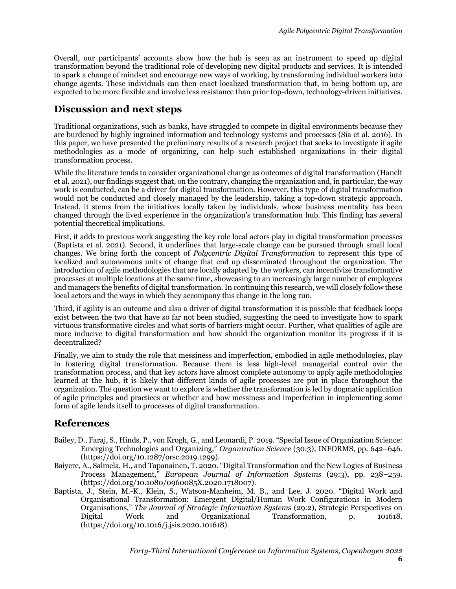Overall, our participants' accounts show how the hub is seen as an instrument to speed up digital transformation beyond the traditional role of developing new digital products and services. It is intended to spark a change of mindset and encourage new ways of working, by transforming individual workers into change agents. These individuals can then enact localized transformation that, in being bottom up, are expected to be more flexible and involve less resistance than prior top-down, technology-driven initiatives.

## **Discussion and next steps**

Traditional organizations, such as banks, have struggled to compete in digital environments because they are burdened by highly ingrained information and technology systems and processes (Sia et al. 2016). In this paper, we have presented the preliminary results of a research project that seeks to investigate if agile methodologies as a mode of organizing, can help such established organizations in their digital transformation process.

While the literature tends to consider organizational change as outcomes of digital transformation (Hanelt et al. 2021), our findings suggest that, on the contrary, changing the organization and, in particular, the way work is conducted, can be a driver for digital transformation. However, this type of digital transformation would not be conducted and closely managed by the leadership, taking a top-down strategic approach. Instead, it stems from the initiatives locally taken by individuals, whose business mentality has been changed through the lived experience in the organization's transformation hub. This finding has several potential theoretical implications.

First, it adds to previous work suggesting the key role local actors play in digital transformation processes (Baptista et al. 2021). Second, it underlines that large-scale change can be pursued through small local changes. We bring forth the concept of *Polycentric Digital Transformation* to represent this type of localized and autonomous units of change that end up disseminated throughout the organization. The introduction of agile methodologies that are locally adapted by the workers, can incentivize transformative processes at multiple locations at the same time, showcasing to an increasingly large number of employees and managers the benefits of digital transformation. In continuing this research, we will closely follow these local actors and the ways in which they accompany this change in the long run.

Third, if agility is an outcome and also a driver of digital transformation it is possible that feedback loops exist between the two that have so far not been studied, suggesting the need to investigate how to spark virtuous transformative circles and what sorts of barriers might occur. Further, what qualities of agile are more inducive to digital transformation and how should the organization monitor its progress if it is decentralized?

Finally, we aim to study the role that messiness and imperfection, embodied in agile methodologies, play in fostering digital transformation. Because there is less high-level managerial control over the transformation process, and that key actors have almost complete autonomy to apply agile methodologies learned at the hub, it is likely that different kinds of agile processes are put in place throughout the organization. The question we want to explore is whether the transformation is led by dogmatic application of agile principles and practices or whether and how messiness and imperfection in implementing some form of agile lends itself to processes of digital transformation.

### **References**

- Bailey, D., Faraj, S., Hinds, P., von Krogh, G., and Leonardi, P. 2019. "Special Issue of Organization Science: Emerging Technologies and Organizing," *Organization Science* (30:3), INFORMS, pp. 642–646. (https://doi.org/10.1287/orsc.2019.1299).
- Baiyere, A., Salmela, H., and Tapanainen, T. 2020. "Digital Transformation and the New Logics of Business Process Management," *European Journal of Information Systems* (29:3), pp. 238–259. (https://doi.org/10.1080/0960085X.2020.1718007).
- Baptista, J., Stein, M.-K., Klein, S., Watson-Manheim, M. B., and Lee, J. 2020. "Digital Work and Organisational Transformation: Emergent Digital/Human Work Configurations in Modern Organisations," *The Journal of Strategic Information Systems* (29:2), Strategic Perspectives on Digital Work and Organizational Transformation, p. 101618. (https://doi.org/10.1016/j.jsis.2020.101618).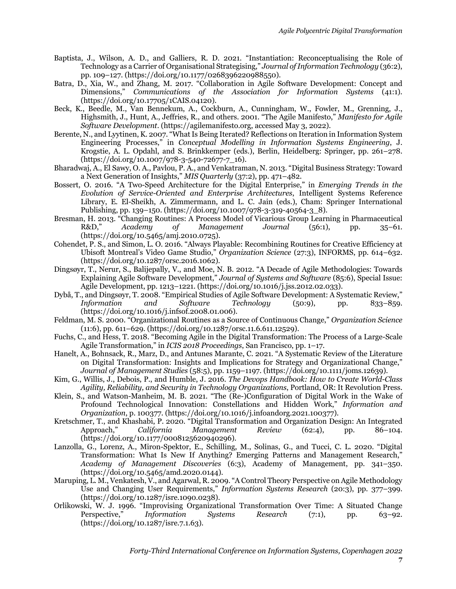- Baptista, J., Wilson, A. D., and Galliers, R. D. 2021. "Instantiation: Reconceptualising the Role of Technology as a Carrier of Organisational Strategising," *Journal of Information Technology* (36:2), pp. 109–127. (https://doi.org/10.1177/0268396220988550).
- Batra, D., Xia, W., and Zhang, M. 2017. "Collaboration in Agile Software Development: Concept and Dimensions," *Communications of the Association for Information Systems* (41:1). (https://doi.org/10.17705/1CAIS.04120).
- Beck, K., Beedle, M., Van Bennekum, A., Cockburn, A., Cunningham, W., Fowler, M., Grenning, J., Highsmith, J., Hunt, A., Jeffries, R., and others. 2001. "The Agile Manifesto," *Manifesto for Agile Software Development*. (https://agilemanifesto.org, accessed May 3, 2022).
- Berente, N., and Lyytinen, K. 2007. "What Is Being Iterated? Reflections on Iteration in Information System Engineering Processes," in *Conceptual Modelling in Information Systems Engineering*, J. Krogstie, A. L. Opdahl, and S. Brinkkemper (eds.), Berlin, Heidelberg: Springer, pp. 261–278. (https://doi.org/10.1007/978-3-540-72677-7\_16).
- Bharadwaj, A., El Sawy, O. A., Pavlou, P. A., and Venkatraman, N. 2013. "Digital Business Strategy: Toward a Next Generation of Insights," *MIS Quarterly* (37:2), pp. 471–482.
- Bossert, O. 2016. "A Two-Speed Architecture for the Digital Enterprise," in *Emerging Trends in the Evolution of Service-Oriented and Enterprise Architectures*, Intelligent Systems Reference Library, E. El-Sheikh, A. Zimmermann, and L. C. Jain (eds.), Cham: Springer International Publishing, pp. 139–150. (https://doi.org/10.1007/978-3-319-40564-3\_8).
- Bresman, H. 2013. "Changing Routines: A Process Model of Vicarious Group Learning in Pharmaceutical<br>R&D." Academu of Management Journal (56:1). pp. 35–61. R&D," *Academy of Management Journal* (56:1), pp. 35–61. (https://doi.org/10.5465/amj.2010.0725).
- Cohendet, P. S., and Simon, L. O. 2016. "Always Playable: Recombining Routines for Creative Efficiency at Ubisoft Montreal's Video Game Studio," *Organization Science* (27:3), INFORMS, pp. 614–632. (https://doi.org/10.1287/orsc.2016.1062).
- Dingsøyr, T., Nerur, S., Balijepally, V., and Moe, N. B. 2012. "A Decade of Agile Methodologies: Towards Explaining Agile Software Development," *Journal of Systems and Software* (85:6), Special Issue: Agile Development, pp. 1213–1221. (https://doi.org/10.1016/j.jss.2012.02.033).
- Dybå, T., and Dingsøyr, T. 2008. "Empirical Studies of Agile Software Development: A Systematic Review," *Information and Software Technology* (50:9), pp. 833–859. (https://doi.org/10.1016/j.infsof.2008.01.006).
- Feldman, M. S. 2000. "Organizational Routines as a Source of Continuous Change," *Organization Science* (11:6), pp. 611–629. (https://doi.org/10.1287/orsc.11.6.611.12529).
- Fuchs, C., and Hess, T. 2018. "Becoming Agile in the Digital Transformation: The Process of a Large-Scale Agile Transformation," in *ICIS 2018 Proceedings*, San Francisco, pp. 1–17.
- Hanelt, A., Bohnsack, R., Marz, D., and Antunes Marante, C. 2021. "A Systematic Review of the Literature on Digital Transformation: Insights and Implications for Strategy and Organizational Change," *Journal of Management Studies* (58:5), pp. 1159–1197. (https://doi.org/10.1111/joms.12639).
- Kim, G., Willis, J., Debois, P., and Humble, J. 2016. *The Devops Handbook: How to Create World-Class Agility, Reliability, and Security in Technology Organizations*, Portland, OR: It Revolution Press.
- Klein, S., and Watson-Manheim, M. B. 2021. "The (Re-)Configuration of Digital Work in the Wake of Profound Technological Innovation: Constellations and Hidden Work," *Information and Organization*, p. 100377. (https://doi.org/10.1016/j.infoandorg.2021.100377).
- Kretschmer, T., and Khashabi, P. 2020. "Digital Transformation and Organization Design: An Integrated Approach," *California Management Review* (62:4), pp. 86–104. (https://doi.org/10.1177/0008125620940296).
- Lanzolla, G., Lorenz, A., Miron-Spektor, E., Schilling, M., Solinas, G., and Tucci, C. L. 2020. "Digital Transformation: What Is New If Anything? Emerging Patterns and Management Research," *Academy of Management Discoveries* (6:3), Academy of Management, pp. 341–350. (https://doi.org/10.5465/amd.2020.0144).
- Maruping, L. M., Venkatesh, V., and Agarwal, R. 2009. "A Control Theory Perspective on Agile Methodology Use and Changing User Requirements," *Information Systems Research* (20:3), pp. 377–399. (https://doi.org/10.1287/isre.1090.0238).
- Orlikowski, W. J. 1996. "Improvising Organizational Transformation Over Time: A Situated Change Perspective," *Information Systems Research* (7:1), pp. 63–92. (https://doi.org/10.1287/isre.7.1.63).